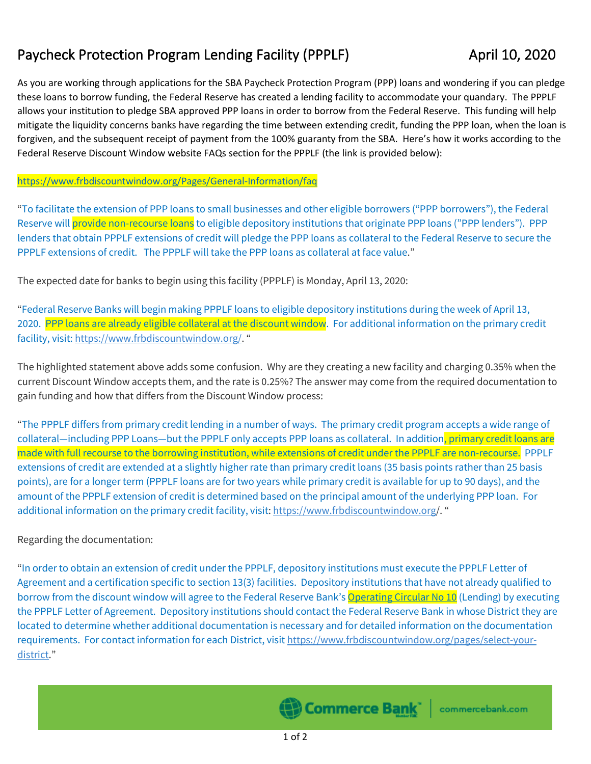## Paycheck Protection Program Lending Facility (PPPLF) April 10, 2020

As you are working through applications for the SBA Paycheck Protection Program (PPP) loans and wondering if you can pledge these loans to borrow funding, the Federal Reserve has created a lending facility to accommodate your quandary. The PPPLF allows your institution to pledge SBA approved PPP loans in order to borrow from the Federal Reserve. This funding will help mitigate the liquidity concerns banks have regarding the time between extending credit, funding the PPP loan, when the loan is forgiven, and the subsequent receipt of payment from the 100% guaranty from the SBA. Here's how it works according to the Federal Reserve Discount Window website FAQs section for the PPPLF (the link is provided below):

## <https://www.frbdiscountwindow.org/Pages/General-Information/faq>

"To facilitate the extension of PPP loans to small businesses and other eligible borrowers ("PPP borrowers"), the Federal Reserve will provide non-recourse loans to eligible depository institutions that originate PPP loans ("PPP lenders"). PPP lenders that obtain PPPLF extensions of credit will pledge the PPP loans as collateral to the Federal Reserve to secure the PPPLF extensions of credit. The PPPLF will take the PPP loans as collateral at face value."

The expected date for banks to begin using this facility (PPPLF) is Monday, April 13, 2020:

"Federal Reserve Banks will begin making PPPLF loans to eligible depository institutions during the week of April 13, 2020. PPP loans are already eligible collateral at the discount window. For additional information on the primary credit facility, visit: [https://www.frbdiscountwindow.org/.](https://www.frbdiscountwindow.org/Pages/General-Information/%7E/link.aspx?_id=110D559FDEA542EA9C1C8A5DF7E70EF9&_z=z) "

The highlighted statement above adds some confusion. Why are they creating a new facility and charging 0.35% when the current Discount Window accepts them, and the rate is 0.25%? The answer may come from the required documentation to gain funding and how that differs from the Discount Window process:

"The PPPLF differs from primary credit lending in a number of ways. The primary credit program accepts a wide range of collateral—including PPP Loans—but the PPPLF only accepts PPP loans as collateral. In addition, primary credit loans are made with full recourse to the borrowing institution, while extensions of credit under the PPPLF are non-recourse. PPPLF extensions of credit are extended at a slightly higher rate than primary credit loans (35 basis points rather than 25 basis points), are for a longer term (PPPLF loans are for two years while primary credit is available for up to 90 days), and the amount of the PPPLF extension of credit is determined based on the principal amount of the underlying PPP loan. For additional information on the primary credit facility, visit: [https://www.frbdiscountwindow.org/](https://www.frbdiscountwindow.org/Pages/General-Information/%7E/link.aspx?_id=110D559FDEA542EA9C1C8A5DF7E70EF9&_z=z). "

## Regarding the documentation:

"In order to obtain an extension of credit under the PPPLF, depository institutions must execute the PPPLF Letter of Agreement and a certification specific to section 13(3) facilities. Depository institutions that have not already qualified to borrow from the discount window will agree to the Federal Reserve Bank's [Operating Circular No 10](https://www.frbservices.org/resources/rules-regulations/operating-circulars.html#10) (Lending) by executing the PPPLF Letter of Agreement. Depository institutions should contact the Federal Reserve Bank in whose District they are located to determine whether additional documentation is necessary and for detailed information on the documentation requirements. For contact information for each District, visit [https://www.frbdiscountwindow.org/pages/select-your](https://www.frbdiscountwindow.org/Pages/General-Information/%7E/link.aspx?_id=5ED54EDFC254420DBE82B74806EDB918&_z=z)[district.](https://www.frbdiscountwindow.org/Pages/General-Information/%7E/link.aspx?_id=5ED54EDFC254420DBE82B74806EDB918&_z=z)"